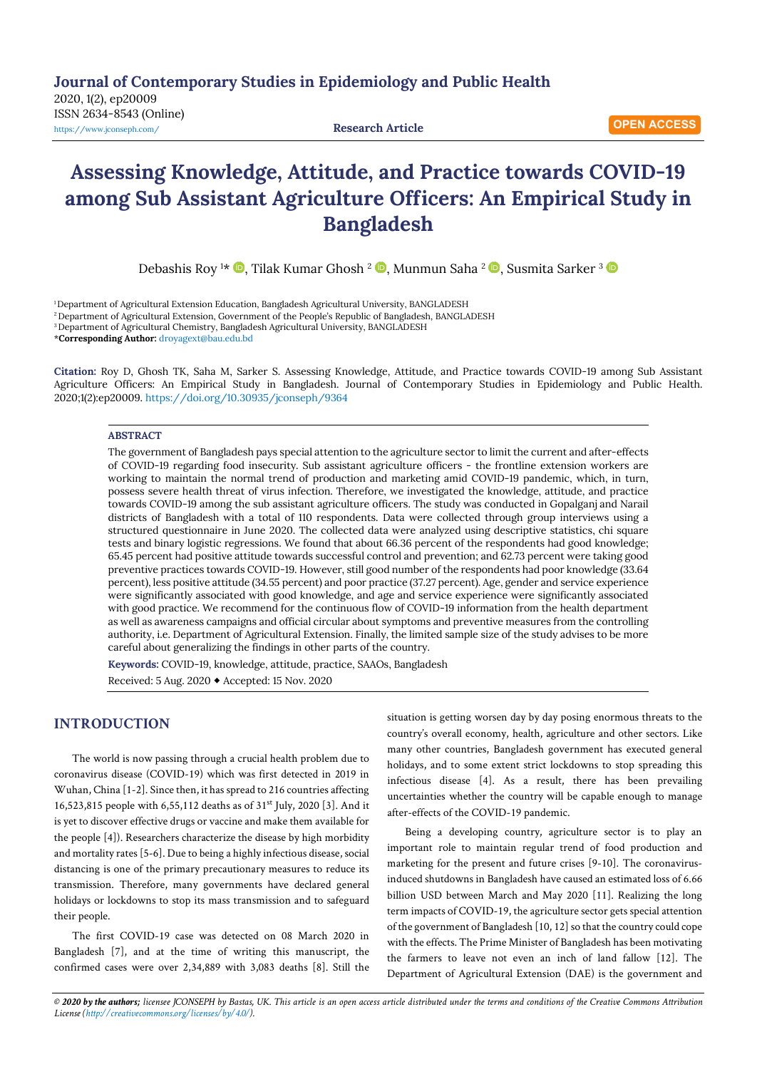**Journal of Contemporary Studies in Epidemiology and Public Health**

2020, 1(2), ep20009 ISSN 2634-8543 (Online) <https://www.jconseph.com/>**Research Article**

# **Assessing Knowledge, Attitude, and Practice towards COVID-19 among Sub Assistant Agriculture Officers: An Empirical Study in Bangladesh**

DebashisRoy 1\* ©, Tilak Kumar Ghosh <sup>2</sup> ©, Munmun Saha <sup>2</sup> ©, Susmita Sarker <sup>3</sup>

1 Department of Agricultural Extension Education, Bangladesh Agricultural University, BANGLADESH

<sup>2</sup> Department of Agricultural Extension, Government of the People's Republic of Bangladesh, BANGLADESH

3 Department of Agricultural Chemistry, Bangladesh Agricultural University, BANGLADESH

\***Corresponding Author:** [droyagext@bau.edu.bd](mailto:droyagext@bau.edu.bd) 

**Citation:** Roy D, Ghosh TK, Saha M, Sarker S. Assessing Knowledge, Attitude, and Practice towards COVID-19 among Sub Assistant Agriculture Officers: An Empirical Study in Bangladesh. Journal of Contemporary Studies in Epidemiology and Public Health. 2020;1(2):ep20009[. https://doi.org/10.30935/jconseph/9364](https://doi.org/10.30935/jconseph/9364)

#### **ABSTRACT**

The government of Bangladesh pays special attention to the agriculture sector to limit the current and after-effects of COVID-19 regarding food insecurity. Sub assistant agriculture officers - the frontline extension workers are working to maintain the normal trend of production and marketing amid COVID-19 pandemic, which, in turn, possess severe health threat of virus infection. Therefore, we investigated the knowledge, attitude, and practice towards COVID-19 among the sub assistant agriculture officers. The study was conducted in Gopalganj and Narail districts of Bangladesh with a total of 110 respondents. Data were collected through group interviews using a structured questionnaire in June 2020. The collected data were analyzed using descriptive statistics, chi square tests and binary logistic regressions. We found that about 66.36 percent of the respondents had good knowledge; 65.45 percent had positive attitude towards successful control and prevention; and 62.73 percent were taking good preventive practices towards COVID-19. However, still good number of the respondents had poor knowledge (33.64 percent), less positive attitude (34.55 percent) and poor practice (37.27 percent). Age, gender and service experience were significantly associated with good knowledge, and age and service experience were significantly associated with good practice. We recommend for the continuous flow of COVID-19 information from the health department as well as awareness campaigns and official circular about symptoms and preventive measures from the controlling authority, i.e. Department of Agricultural Extension. Finally, the limited sample size of the study advises to be more careful about generalizing the findings in other parts of the country.

**Keywords:** COVID-19, knowledge, attitude, practice, SAAOs, Bangladesh Received: 5 Aug. 2020 Accepted: 15 Nov. 2020

# **INTRODUCTION**

The world is now passing through a crucial health problem due to coronavirus disease (COVID-19) which was first detected in 2019 in Wuhan, China [1-2]. Since then, it has spread to 216 countries affecting 16,523,815 people with 6,55,112 deaths as of 31st July, 2020 [3]. And it is yet to discover effective drugs or vaccine and make them available for the people [4]). Researchers characterize the disease by high morbidity and mortality rates [5-6]. Due to being a highly infectious disease, social distancing is one of the primary precautionary measures to reduce its transmission. Therefore, many governments have declared general holidays or lockdowns to stop its mass transmission and to safeguard their people.

The first COVID-19 case was detected on 08 March 2020 in Bangladesh [7], and at the time of writing this manuscript, the confirmed cases were over 2,34,889 with 3,083 deaths [8]. Still the situation is getting worsen day by day posing enormous threats to the country's overall economy, health, agriculture and other sectors. Like many other countries, Bangladesh government has executed general holidays, and to some extent strict lockdowns to stop spreading this infectious disease [4]. As a result, there has been prevailing uncertainties whether the country will be capable enough to manage after-effects of the COVID-19 pandemic.

Being a developing country, agriculture sector is to play an important role to maintain regular trend of food production and marketing for the present and future crises [9-10]. The coronavirusinduced shutdowns in Bangladesh have caused an estimated loss of 6.66 billion USD between March and May 2020 [11]. Realizing the long term impacts of COVID-19, the agriculture sector gets special attention of the government of Bangladesh [10, 12] so that the country could cope with the effects. The Prime Minister of Bangladesh has been motivating the farmers to leave not even an inch of land fallow [12]. The Department of Agricultural Extension (DAE) is the government and

© 2020 by the authors; licensee JCONSEPH by Bastas, UK. This article is an open access article distributed under the terms and conditions of the Creative Commons Attribution *License [\(http://creativecommons.org/licenses/by/4.0/\).](http://creativecommons.org/licenses/by/4.0/)*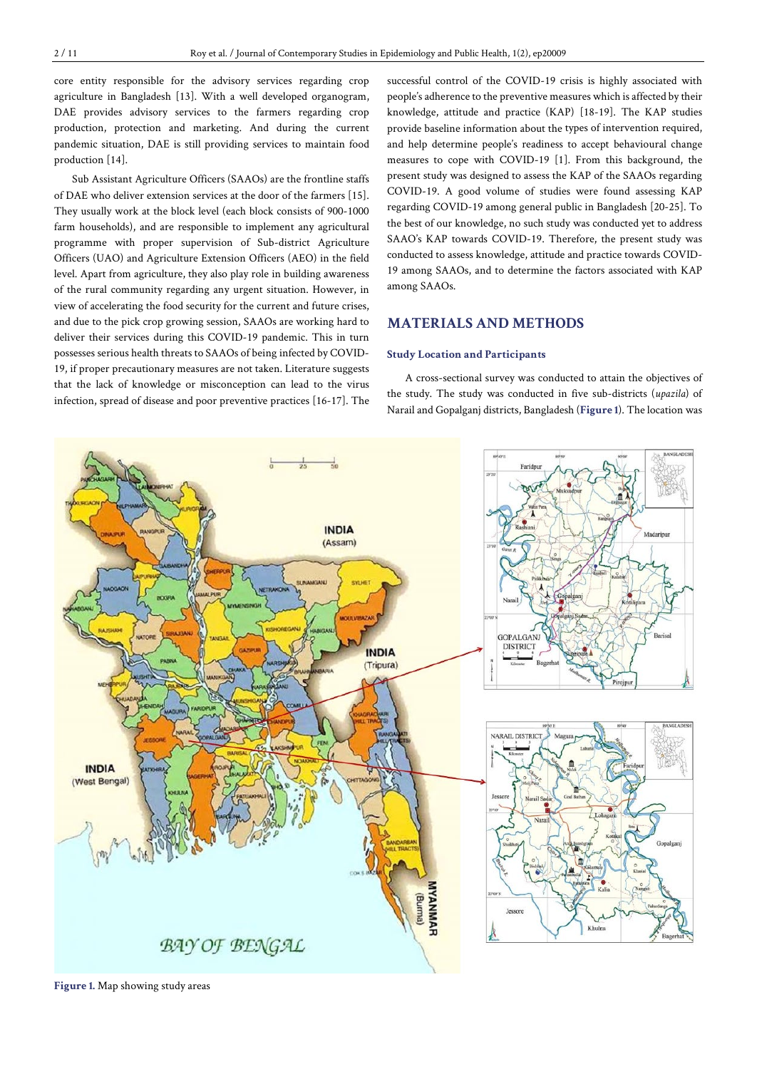core entity responsible for the advisory services regarding crop agriculture in Bangladesh [13]. With a well developed organogram, DAE provides advisory services to the farmers regarding crop production, protection and marketing. And during the current pandemic situation, DAE is still providing services to maintain food production [14].

Sub Assistant Agriculture Officers (SAAOs) are the frontline staffs of DAE who deliver extension services at the door of the farmers [15]. They usually work at the block level (each block consists of 900-1000 farm households), and are responsible to implement any agricultural programme with proper supervision of Sub-district Agriculture Officers (UAO) and Agriculture Extension Officers (AEO) in the field level. Apart from agriculture, they also play role in building awareness of the rural community regarding any urgent situation. However, in view of accelerating the food security for the current and future crises, and due to the pick crop growing session, SAAOs are working hard to deliver their services during this COVID-19 pandemic. This in turn possesses serious health threats to SAAOs of being infected by COVID-19, if proper precautionary measures are not taken. Literature suggests that the lack of knowledge or misconception can lead to the virus infection, spread of disease and poor preventive practices [16-17]. The

successful control of the COVID-19 crisis is highly associated with people's adherence to the preventive measures which is affected by their knowledge, attitude and practice (KAP) [18-19]. The KAP studies provide baseline information about the types of intervention required, and help determine people's readiness to accept behavioural change measures to cope with COVID-19 [1]. From this background, the present study was designed to assess the KAP of the SAAOs regarding COVID-19. A good volume of studies were found assessing KAP regarding COVID-19 among general public in Bangladesh [20-25]. To the best of our knowledge, no such study was conducted yet to address SAAO's KAP towards COVID-19. Therefore, the present study was conducted to assess knowledge, attitude and practice towards COVID-19 among SAAOs, and to determine the factors associated with KAP among SAAOs.

# **MATERIALS AND METHODS**

# **Study Location and Participants**

A cross-sectional survey was conducted to attain the objectives of the study. The study was conducted in five sub-districts (*upazila*) of Narail and Gopalganj districts, Bangladesh (**Figure 1**). The location was



**Figure 1.** Map showing study areas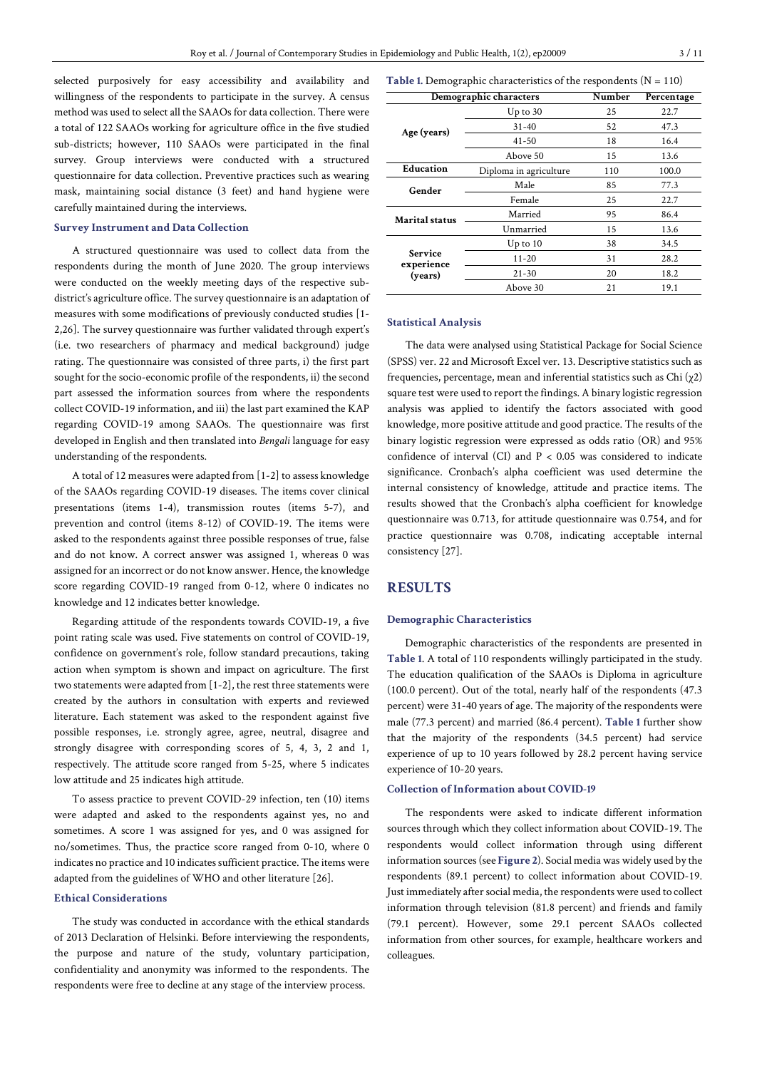selected purposively for easy accessibility and availability and willingness of the respondents to participate in the survey. A census method was used to select all the SAAOs for data collection. There were a total of 122 SAAOs working for agriculture office in the five studied sub-districts; however, 110 SAAOs were participated in the final survey. Group interviews were conducted with a structured questionnaire for data collection. Preventive practices such as wearing mask, maintaining social distance (3 feet) and hand hygiene were carefully maintained during the interviews.

# **Survey Instrument and Data Collection**

A structured questionnaire was used to collect data from the respondents during the month of June 2020. The group interviews were conducted on the weekly meeting days of the respective subdistrict's agriculture office. The survey questionnaire is an adaptation of measures with some modifications of previously conducted studies [1- 2,26]. The survey questionnaire was further validated through expert's (i.e. two researchers of pharmacy and medical background) judge rating. The questionnaire was consisted of three parts, i) the first part sought for the socio-economic profile of the respondents, ii) the second part assessed the information sources from where the respondents collect COVID-19 information, and iii) the last part examined the KAP regarding COVID-19 among SAAOs. The questionnaire was first developed in English and then translated into *Bengali* language for easy understanding of the respondents.

A total of 12 measures were adapted from [1-2] to assess knowledge of the SAAOs regarding COVID-19 diseases. The items cover clinical presentations (items 1-4), transmission routes (items 5-7), and prevention and control (items 8-12) of COVID-19. The items were asked to the respondents against three possible responses of true, false and do not know. A correct answer was assigned 1, whereas 0 was assigned for an incorrect or do not know answer.Hence, the knowledge score regarding COVID-19 ranged from 0-12, where 0 indicates no knowledge and 12 indicates better knowledge.

Regarding attitude of the respondents towards COVID-19, a five point rating scale was used. Five statements on control of COVID-19, confidence on government's role, follow standard precautions, taking action when symptom is shown and impact on agriculture. The first two statements were adapted from [1-2], the rest three statements were created by the authors in consultation with experts and reviewed literature. Each statement was asked to the respondent against five possible responses, i.e. strongly agree, agree, neutral, disagree and strongly disagree with corresponding scores of 5, 4, 3, 2 and 1, respectively. The attitude score ranged from 5-25, where 5 indicates low attitude and 25 indicates high attitude.

To assess practice to prevent COVID-29 infection, ten (10) items were adapted and asked to the respondents against yes, no and sometimes. A score 1 was assigned for yes, and 0 was assigned for no/sometimes. Thus, the practice score ranged from 0-10, where 0 indicates no practice and 10 indicates sufficient practice. The items were adapted from the guidelines of WHO and other literature [26].

# **Ethical Considerations**

The study was conducted in accordance with the ethical standards of 2013 Declaration of Helsinki. Before interviewing the respondents, the purpose and nature of the study, voluntary participation, confidentiality and anonymity was informed to the respondents. The respondents were free to decline at any stage of the interview process.

**Table 1.** Demographic characteristics of the respondents (N = 110)

|                              | Demographic characters | Number | Percentage |
|------------------------------|------------------------|--------|------------|
|                              | $Up$ to $30$           | 25     | 22.7       |
| Age (years)                  | $31 - 40$              | 52     | 47.3       |
|                              | $41 - 50$              | 18     | 16.4       |
|                              | Above 50               | 15     | 13.6       |
| Education                    | Diploma in agriculture | 110    | 100.0      |
| Gender                       | Male                   | 85     | 77.3       |
|                              | Female                 | 25     | 22.7       |
| Marital status               | Married                | 95     | 86.4       |
|                              | Unmarried              | 15     | 13.6       |
|                              | $Up$ to $10$           | 38     | 34.5       |
| <b>Service</b><br>experience | $11 - 20$              | 31     | 28.2       |
| (years)                      | $21 - 30$              | 20     | 18.2       |
|                              | Above 30               | 21     | 19.1       |

#### **Statistical Analysis**

The data were analysed using Statistical Package for Social Science (SPSS) ver. 22 and Microsoft Excel ver. 13. Descriptive statistics such as frequencies, percentage, mean and inferential statistics such as Chi  $(\chi_2)$ square test were used to report the findings. A binary logistic regression analysis was applied to identify the factors associated with good knowledge, more positive attitude and good practice. The results of the binary logistic regression were expressed as odds ratio (OR) and 95% confidence of interval (CI) and  $P < 0.05$  was considered to indicate significance. Cronbach's alpha coefficient was used determine the internal consistency of knowledge, attitude and practice items. The results showed that the Cronbach's alpha coefficient for knowledge questionnaire was 0.713, for attitude questionnaire was 0.754, and for practice questionnaire was 0.708, indicating acceptable internal consistency [27].

# **RESULTS**

## **Demographic Characteristics**

Demographic characteristics of the respondents are presented in **Table 1**. A total of 110 respondents willingly participated in the study. The education qualification of the SAAOs is Diploma in agriculture (100.0 percent). Out of the total, nearly half of the respondents (47.3 percent) were 31-40 years of age. The majority of the respondents were male (77.3 percent) and married (86.4 percent). **Table 1** further show that the majority of the respondents (34.5 percent) had service experience of up to 10 years followed by 28.2 percent having service experience of 10-20 years.

## **Collection of Information about COVID-19**

The respondents were asked to indicate different information sources through which they collect information about COVID-19. The respondents would collect information through using different information sources(see **Figure 2**). Social media was widely used by the respondents (89.1 percent) to collect information about COVID-19. Just immediately after social media, the respondents were used to collect information through television (81.8 percent) and friends and family (79.1 percent). However, some 29.1 percent SAAOs collected information from other sources, for example, healthcare workers and colleagues.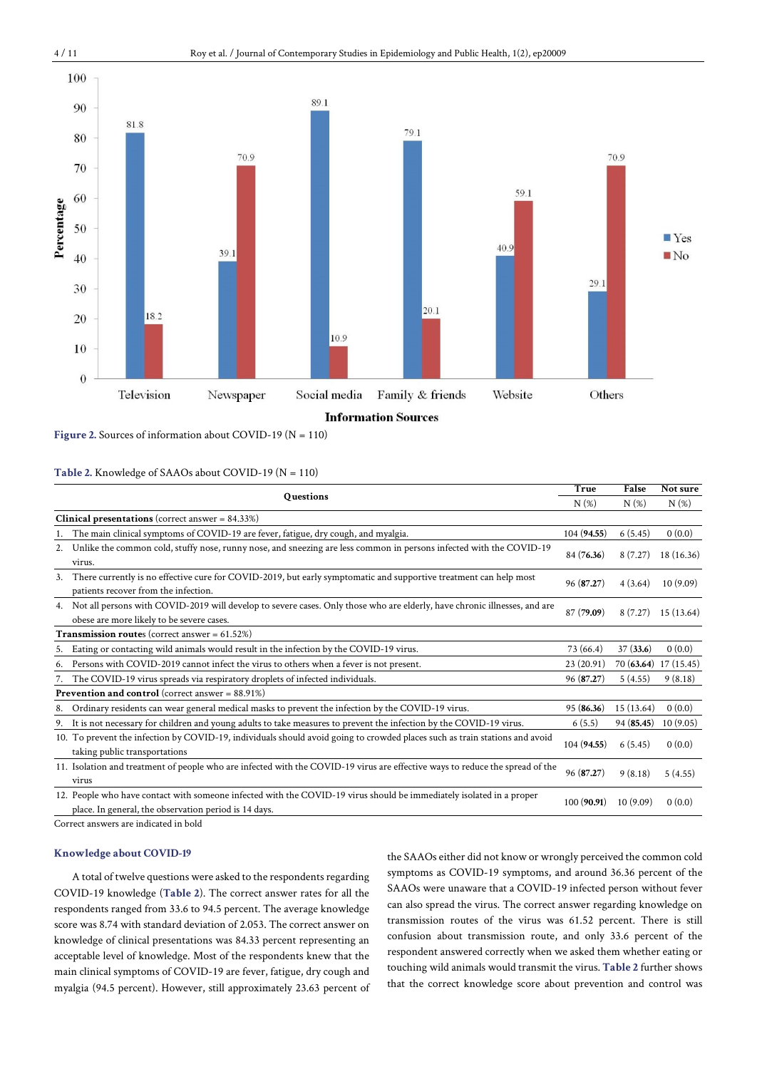

**Figure 2.** Sources of information about COVID-19 (N = 110)

## **Table 2.** Knowledge of SAAOs about COVID-19 (N = 110)

|    | <b>Questions</b>                                                                                                                                                              |             | False      | Not sure              |
|----|-------------------------------------------------------------------------------------------------------------------------------------------------------------------------------|-------------|------------|-----------------------|
|    |                                                                                                                                                                               | N(%)        | $N(\%)$    | N(%)                  |
|    | <b>Clinical presentations</b> (correct answer = $84.33\%$ )                                                                                                                   |             |            |                       |
|    | The main clinical symptoms of COVID-19 are fever, fatigue, dry cough, and myalgia.                                                                                            | 104 (94.55) | 6(5.45)    | 0(0.0)                |
| 2. | Unlike the common cold, stuffy nose, runny nose, and sneezing are less common in persons infected with the COVID-19<br>virus.                                                 | 84 (76.36)  | 8(7.27)    | 18 (16.36)            |
| 3. | There currently is no effective cure for COVID-2019, but early symptomatic and supportive treatment can help most<br>patients recover from the infection.                     | 96(87.27)   | 4(3.64)    | 10(9.09)              |
| 4. | Not all persons with COVID-2019 will develop to severe cases. Only those who are elderly, have chronic illnesses, and are<br>obese are more likely to be severe cases.        | 87 (79.09)  | 8(7.27)    | 15(13.64)             |
|    | <b>Transmission routes</b> (correct answer = $61.52\%$ )                                                                                                                      |             |            |                       |
| 5. | Eating or contacting wild animals would result in the infection by the COVID-19 virus.                                                                                        | 73 (66.4)   | 37(33.6)   | 0(0.0)                |
| 6. | Persons with COVID-2019 cannot infect the virus to others when a fever is not present.                                                                                        | 23(20.91)   |            | 70 (63.64) 17 (15.45) |
| 7. | The COVID-19 virus spreads via respiratory droplets of infected individuals.                                                                                                  | 96(87.27)   | 5(4.55)    | 9(8.18)               |
|    | <b>Prevention and control</b> (correct answer = $88.91\%$ )                                                                                                                   |             |            |                       |
| 8. | Ordinary residents can wear general medical masks to prevent the infection by the COVID-19 virus.                                                                             | 95(86.36)   | 15 (13.64) | 0(0.0)                |
| 9. | It is not necessary for children and young adults to take measures to prevent the infection by the COVID-19 virus.                                                            | 6(5.5)      | 94(85.45)  | 10(9.05)              |
|    | 10. To prevent the infection by COVID-19, individuals should avoid going to crowded places such as train stations and avoid<br>taking public transportations                  | 104 (94.55) | 6(5.45)    | 0(0.0)                |
|    | 11. Isolation and treatment of people who are infected with the COVID-19 virus are effective ways to reduce the spread of the<br>virus                                        | 96 (87.27)  | 9(8.18)    | 5(4.55)               |
|    | 12. People who have contact with someone infected with the COVID-19 virus should be immediately isolated in a proper<br>place. In general, the observation period is 14 days. | 100(90.91)  | 10(9.09)   | 0(0.0)                |

Correct answers are indicated in bold

# **Knowledge about COVID-19**

A total of twelve questions were asked to the respondents regarding COVID-19 knowledge (**Table 2**). The correct answer rates for all the respondents ranged from 33.6 to 94.5 percent. The average knowledge score was 8.74 with standard deviation of 2.053. The correct answer on knowledge of clinical presentations was 84.33 percent representing an acceptable level of knowledge. Most of the respondents knew that the main clinical symptoms of COVID-19 are fever, fatigue, dry cough and myalgia (94.5 percent). However, still approximately 23.63 percent of the SAAOs either did not know or wrongly perceived the common cold symptoms as COVID-19 symptoms, and around 36.36 percent of the SAAOs were unaware that a COVID-19 infected person without fever can also spread the virus. The correct answer regarding knowledge on transmission routes of the virus was 61.52 percent. There is still confusion about transmission route, and only 33.6 percent of the respondent answered correctly when we asked them whether eating or touching wild animals would transmit the virus. **Table 2** further shows that the correct knowledge score about prevention and control was

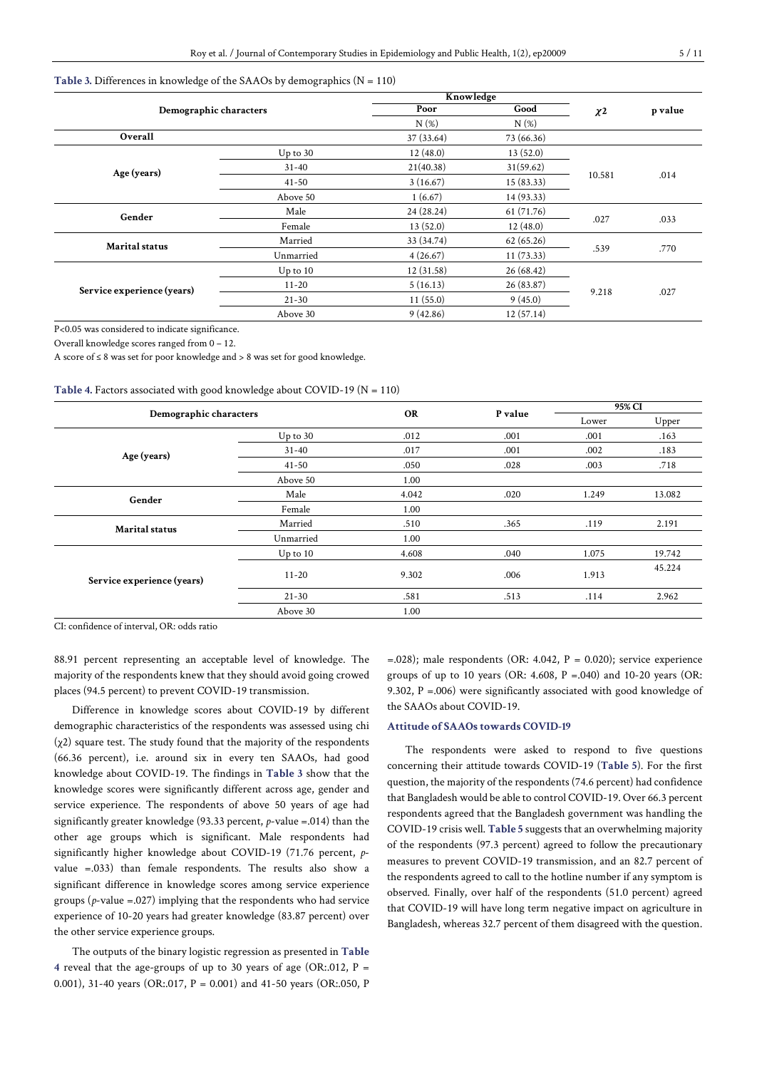#### **Table 3.** Differences in knowledge of the SAAOs by demographics (N = 110)

|                            |              | Knowledge  |            |                     |         |  |
|----------------------------|--------------|------------|------------|---------------------|---------|--|
| Demographic characters     |              | Poor       | Good       | $\chi$ <sup>2</sup> | p value |  |
|                            |              | N(%)       | N(%)       |                     |         |  |
| Overall                    |              | 37 (33.64) | 73 (66.36) |                     |         |  |
|                            | $Up$ to 30   | 12(48.0)   | 13(52.0)   |                     |         |  |
| Age (years)                | $31 - 40$    | 21(40.38)  | 31(59.62)  |                     |         |  |
|                            | $41 - 50$    | 3(16.67)   | 15(83.33)  | 10.581              | .014    |  |
|                            | Above 50     | 1(6.67)    | 14 (93.33) |                     |         |  |
| Gender                     | Male         | 24(28.24)  | 61 (71.76) | .027                | .033    |  |
|                            | Female       | 13(52.0)   | 12(48.0)   |                     |         |  |
| <b>Marital status</b>      | Married      | 33 (34.74) | 62(65.26)  |                     |         |  |
|                            | Unmarried    | 4(26.67)   | 11(73.33)  | .539                | .770    |  |
|                            | $Up$ to $10$ | 12(31.58)  | 26(68.42)  |                     |         |  |
| Service experience (years) | $11 - 20$    | 5(16.13)   | 26 (83.87) |                     |         |  |
|                            | $21 - 30$    | 11(55.0)   | 9(45.0)    | 9.218               | .027    |  |
|                            | Above 30     | 9(42.86)   | 12(57.14)  |                     |         |  |

P<0.05 was considered to indicate significance.

Overall knowledge scores ranged from 0 – 12.

A score of ≤ 8 was set for poor knowledge and > 8 was set for good knowledge.

| Table 4. Factors associated with good knowledge about COVID-19 ( $N = 110$ ) |  |  |
|------------------------------------------------------------------------------|--|--|
|------------------------------------------------------------------------------|--|--|

|                            |              | <b>OR</b> | P value | 95% CI |        |
|----------------------------|--------------|-----------|---------|--------|--------|
| Demographic characters     |              |           |         | Lower  | Upper  |
|                            | $Up$ to 30   | .012      | .001    | .001   | .163   |
| Age (years)                | $31 - 40$    | .017      | .001    | .002   | .183   |
|                            | $41 - 50$    | .050      | .028    | .003   | .718   |
|                            | Above 50     | 1.00      |         |        |        |
| Gender                     | Male         | 4.042     | .020    | 1.249  | 13.082 |
|                            | Female       | 1.00      |         |        |        |
| <b>Marital status</b>      | Married      | .510      | .365    | .119   | 2.191  |
|                            | Unmarried    | 1.00      |         |        |        |
|                            | $Up$ to $10$ | 4.608     | .040    | 1.075  | 19.742 |
| Service experience (years) | $11 - 20$    | 9.302     | .006    | 1.913  | 45.224 |
|                            | $21 - 30$    | .581      | .513    | .114   | 2.962  |
|                            | Above 30     | 1.00      |         |        |        |

CI: confidence of interval, OR: odds ratio

88.91 percent representing an acceptable level of knowledge. The majority of the respondents knew that they should avoid going crowed places (94.5 percent) to prevent COVID-19 transmission.

Difference in knowledge scores about COVID-19 by different demographic characteristics of the respondents was assessed using chi (χ2) square test. The study found that the majority of the respondents (66.36 percent), i.e. around six in every ten SAAOs, had good knowledge about COVID-19. The findings in **Table 3** show that the knowledge scores were significantly different across age, gender and service experience. The respondents of above 50 years of age had significantly greater knowledge (93.33 percent, *p*-value =.014) than the other age groups which is significant. Male respondents had significantly higher knowledge about COVID-19 (71.76 percent, *p*value =.033) than female respondents. The results also show a significant difference in knowledge scores among service experience groups (*p*-value =.027) implying that the respondents who had service experience of 10-20 years had greater knowledge (83.87 percent) over the other service experience groups.

The outputs of the binary logistic regression as presented in **Table 4** reveal that the age-groups of up to 30 years of age (OR:.012,  $P =$ 0.001), 31-40 years (OR:.017, P = 0.001) and 41-50 years (OR:.050, P

 $=$ .028); male respondents (OR: 4.042, P = 0.020); service experience groups of up to 10 years (OR:  $4.608$ ,  $P = .040$ ) and  $10-20$  years (OR: 9.302, P =.006) were significantly associated with good knowledge of the SAAOs about COVID-19.

#### **Attitude of SAAOs towards COVID-19**

The respondents were asked to respond to five questions concerning their attitude towards COVID-19 (**Table 5**). For the first question, the majority of the respondents (74.6 percent) had confidence that Bangladesh would be able to control COVID-19. Over 66.3 percent respondents agreed that the Bangladesh government was handling the COVID-19 crisis well. **Table 5** suggests that an overwhelming majority of the respondents (97.3 percent) agreed to follow the precautionary measures to prevent COVID-19 transmission, and an 82.7 percent of the respondents agreed to call to the hotline number if any symptom is observed. Finally, over half of the respondents (51.0 percent) agreed that COVID-19 will have long term negative impact on agriculture in Bangladesh, whereas 32.7 percent of them disagreed with the question.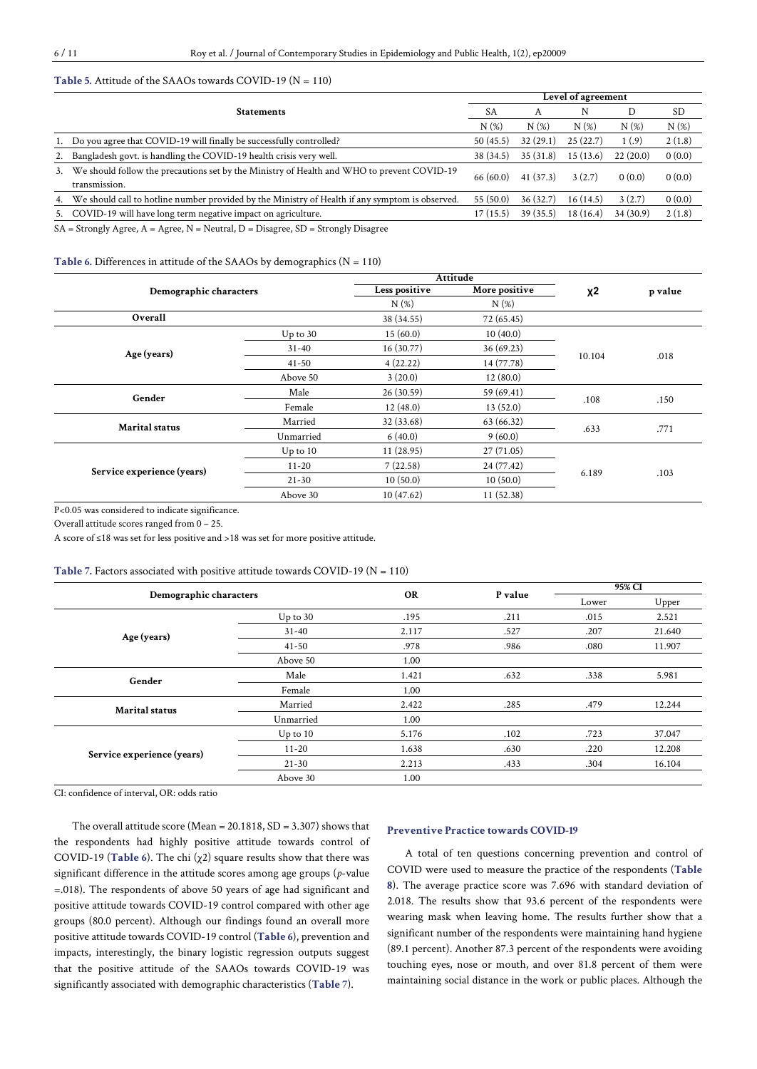## **Table 5.** Attitude of the SAAOs towards COVID-19 (N = 110)

|                                                                                                                |           | Level of agreement |          |          |         |  |
|----------------------------------------------------------------------------------------------------------------|-----------|--------------------|----------|----------|---------|--|
| <b>Statements</b>                                                                                              | <b>SA</b> | A                  | N        | D        | SD      |  |
|                                                                                                                | N(%)      | N(%)               | $N(\%)$  | N(%)     | $N(\%)$ |  |
| 1. Do you agree that COVID-19 will finally be successfully controlled?                                         | 50(45.5)  | 32(29.1)           | 25(22.7) | 1(.9)    | 2(1.8)  |  |
| 2. Bangladesh govt, is handling the COVID-19 health crisis very well.                                          | 38 (34.5) | 35(31.8)           | 15(13.6) | 22(20.0) | 0(0.0)  |  |
| 3. We should follow the precautions set by the Ministry of Health and WHO to prevent COVID-19<br>transmission. | 66(60.0)  | 41 (37.3)          | 3(2.7)   | 0(0.0)   | 0(0.0)  |  |
| 4. We should call to hotline number provided by the Ministry of Health if any symptom is observed.             | 55(50.0)  | 36(32.7)           | 16(14.5) | 3(2.7)   | 0(0.0)  |  |
| 5. COVID-19 will have long term negative impact on agriculture.                                                | 17(15.5)  | 39(35.5)           | 18(16.4) | 34(30.9) | 2(1.8)  |  |

SA = Strongly Agree, A = Agree, N = Neutral, D = Disagree, SD = Strongly Disagree

#### **Table** 6. Differences in attitude of the SAAOs by demographics  $(N = 110)$

|                            |              | Attitude      |               |        |         |
|----------------------------|--------------|---------------|---------------|--------|---------|
| Demographic characters     |              | Less positive | More positive | χ2     | p value |
|                            |              | $N(\%)$       | $N(\%)$       |        |         |
| Overall                    |              | 38 (34.55)    | 72 (65.45)    |        |         |
|                            | $Up$ to 30   | 15(60.0)      | 10(40.0)      |        |         |
| Age (years)                | $31 - 40$    | 16(30.77)     | 36(69.23)     | 10.104 | .018    |
|                            | $41 - 50$    | 4(22.22)      | 14 (77.78)    |        |         |
|                            | Above 50     | 3(20.0)       | 12(80.0)      |        |         |
| Gender                     | Male         | 26(30.59)     | 59 (69.41)    | .108   | .150    |
|                            | Female       | 12(48.0)      | 13(52.0)      |        |         |
| <b>Marital</b> status      | Married      | 32 (33.68)    | 63 (66.32)    | .633   | .771    |
|                            | Unmarried    | 6(40.0)       | 9(60.0)       |        |         |
|                            | $Up$ to $10$ | 11(28.95)     | 27(71.05)     |        |         |
| Service experience (years) | $11 - 20$    | 7(22.58)      | 24 (77.42)    |        |         |
|                            | $21 - 30$    | 10(50.0)      | 10(50.0)      | 6.189  | .103    |
|                            | Above 30     | 10(47.62)     | 11(52.38)     |        |         |

P<0.05 was considered to indicate significance.

Overall attitude scores ranged from 0 – 25.

A score of ≤18 was set for less positive and >18 was set for more positive attitude.

#### **Table 7.** Factors associated with positive attitude towards COVID-19 (N = 110)

| Demographic characters     |              |           | P value | 95% CI |        |
|----------------------------|--------------|-----------|---------|--------|--------|
|                            |              | <b>OR</b> |         | Lower  | Upper  |
|                            | $Up$ to 30   | .195      | .211    | .015   | 2.521  |
| Age (years)                | $31 - 40$    | 2.117     | .527    | .207   | 21.640 |
|                            | $41 - 50$    | .978      | .986    | .080   | 11.907 |
|                            | Above 50     | 1.00      |         |        |        |
| Gender                     | Male         | 1.421     | .632    | .338   | 5.981  |
|                            | Female       | 1.00      |         |        |        |
| <b>Marital</b> status      | Married      | 2.422     | .285    | .479   | 12.244 |
|                            | Unmarried    | 1.00      |         |        |        |
|                            | $Up$ to $10$ | 5.176     | .102    | .723   | 37.047 |
| Service experience (years) | $11 - 20$    | 1.638     | .630    | .220   | 12.208 |
|                            | $21 - 30$    | 2.213     | .433    | .304   | 16.104 |
|                            | Above 30     | 1.00      |         |        |        |

CI: confidence of interval, OR: odds ratio

The overall attitude score (Mean = 20.1818, SD = 3.307) shows that the respondents had highly positive attitude towards control of COVID-19 (**Table 6**). The chi (χ2) square results show that there was significant difference in the attitude scores among age groups (*p*-value =.018). The respondents of above 50 years of age had significant and positive attitude towards COVID-19 control compared with other age groups (80.0 percent). Although our findings found an overall more positive attitude towards COVID-19 control (**Table 6**), prevention and impacts, interestingly, the binary logistic regression outputs suggest that the positive attitude of the SAAOs towards COVID-19 was significantly associated with demographic characteristics (**Table 7**).

#### **Preventive Practice towards COVID-19**

A total of ten questions concerning prevention and control of COVID were used to measure the practice of the respondents (**Table 8**). The average practice score was 7.696 with standard deviation of 2.018. The results show that 93.6 percent of the respondents were wearing mask when leaving home. The results further show that a significant number of the respondents were maintaining hand hygiene (89.1 percent). Another 87.3 percent of the respondents were avoiding touching eyes, nose or mouth, and over 81.8 percent of them were maintaining social distance in the work or public places. Although the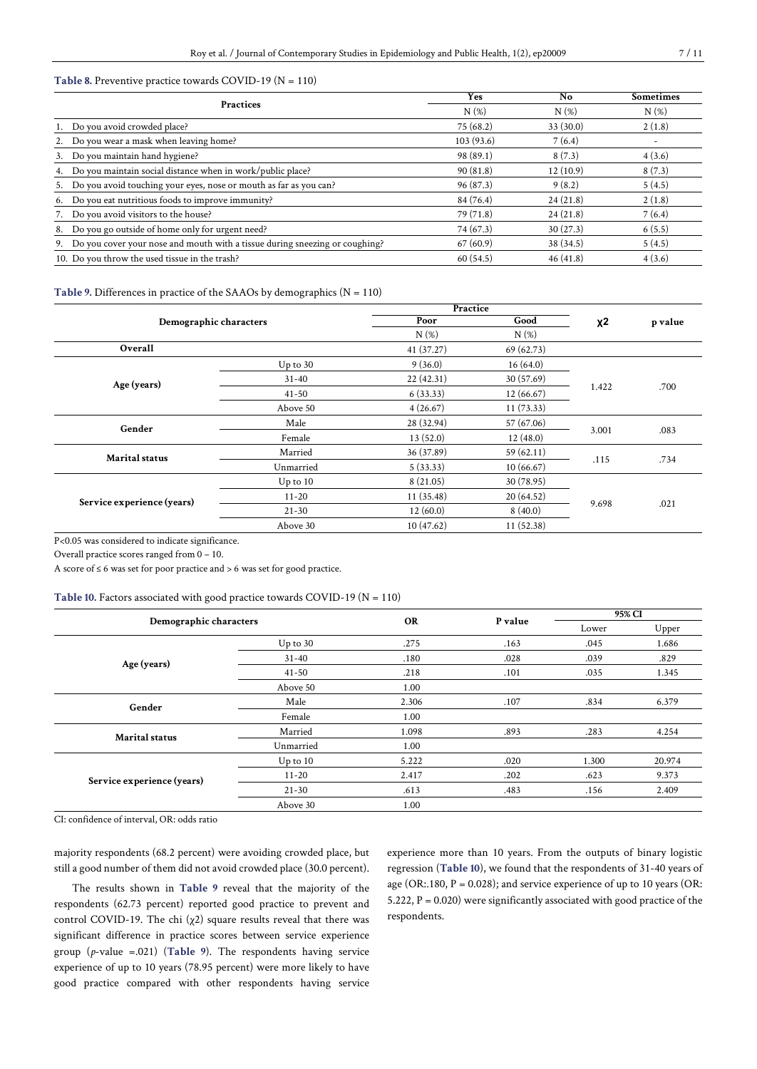## **Table 8.** Preventive practice towards COVID-19 (N = 110)

| <b>Practices</b>                                                               | Yes       | N <sub>o</sub> | <b>Sometimes</b> |
|--------------------------------------------------------------------------------|-----------|----------------|------------------|
|                                                                                | N(%)      | N(%)           | $N(\%)$          |
| 1. Do you avoid crowded place?                                                 | 75 (68.2) | 33(30.0)       | 2(1.8)           |
| 2. Do you wear a mask when leaving home?                                       | 103(93.6) | 7(6.4)         | ٠                |
| 3. Do you maintain hand hygiene?                                               | 98 (89.1) | 8(7.3)         | 4(3.6)           |
| 4. Do you maintain social distance when in work/public place?                  | 90(81.8)  | 12(10.9)       | 8(7.3)           |
| 5. Do you avoid touching your eyes, nose or mouth as far as you can?           | 96 (87.3) | 9(8.2)         | 5(4.5)           |
| 6. Do you eat nutritious foods to improve immunity?                            | 84 (76.4) | 24(21.8)       | 2(1.8)           |
| 7. Do you avoid visitors to the house?                                         | 79 (71.8) | 24(21.8)       | 7(6.4)           |
| 8. Do you go outside of home only for urgent need?                             | 74 (67.3) | 30(27.3)       | 6(5.5)           |
| 9. Do you cover your nose and mouth with a tissue during sneezing or coughing? | 67(60.9)  | 38 (34.5)      | 5(4.5)           |
| 10. Do you throw the used tissue in the trash?                                 | 60(54.5)  | 46(41.8)       | 4(3.6)           |

## **Table** 9. Differences in practice of the SAAOs by demographics  $(N = 110)$

|                            |              | Practice   |            |       |         |
|----------------------------|--------------|------------|------------|-------|---------|
| Demographic characters     |              | Poor       | Good       | $x^2$ | p value |
|                            |              | N(%)       | $N(\%)$    |       |         |
| Overall                    |              | 41 (37.27) | 69 (62.73) |       |         |
|                            | $Up$ to 30   | 9(36.0)    | 16(64.0)   |       |         |
| Age (years)                | $31 - 40$    | 22(42.31)  | 30 (57.69) |       |         |
|                            | $41 - 50$    | 6(33.33)   | 12(66.67)  | 1.422 | .700    |
|                            | Above 50     | 4(26.67)   | 11(73.33)  |       |         |
| Gender                     | Male         | 28 (32.94) | 57 (67.06) |       | .083    |
|                            | Female       | 13(52.0)   | 12(48.0)   | 3.001 |         |
| Marital status             | Married      | 36 (37.89) | 59(62.11)  |       |         |
|                            | Unmarried    | 5(33.33)   | 10(66.67)  | .115  | .734    |
|                            | $Up$ to $10$ | 8(21.05)   | 30 (78.95) |       |         |
| Service experience (years) | $11 - 20$    | 11(35.48)  | 20(64.52)  |       |         |
|                            | $21 - 30$    | 12(60.0)   | 8(40.0)    | 9.698 | .021    |
|                            | Above 30     | 10(47.62)  | 11 (52.38) |       |         |

P<0.05 was considered to indicate significance.

Overall practice scores ranged from 0 – 10.

A score of  $\leq 6$  was set for poor practice and  $> 6$  was set for good practice.

#### **Table 10.** Factors associated with good practice towards COVID-19 (N = 110)

|                                                | Demographic characters |           |         | 95% CI |        |
|------------------------------------------------|------------------------|-----------|---------|--------|--------|
|                                                |                        | <b>OR</b> | P value | Lower  | Upper  |
|                                                | $Up$ to 30             | .275      | .163    | .045   | 1.686  |
| Age (years)<br>Gender<br><b>Marital</b> status | $31 - 40$              | .180      | .028    | .039   | .829   |
|                                                | $41 - 50$              | .218      | .101    | .035   | 1.345  |
|                                                | Above 50               | 1.00      |         |        |        |
|                                                | Male                   | 2.306     | .107    | .834   | 6.379  |
|                                                | Female                 | 1.00      |         |        |        |
|                                                | Married                | 1.098     | .893    | .283   | 4.254  |
|                                                | Unmarried              | 1.00      |         |        |        |
|                                                | $Up$ to $10$           | 5.222     | .020    | 1.300  | 20.974 |
| Service experience (years)                     | $11 - 20$              | 2.417     | .202    | .623   | 9.373  |
|                                                | $21 - 30$              | .613      | .483    | .156   | 2.409  |
|                                                | Above 30               | 1.00      |         |        |        |

CI: confidence of interval, OR: odds ratio

majority respondents (68.2 percent) were avoiding crowded place, but still a good number of them did not avoid crowded place (30.0 percent).

The results shown in **Table 9** reveal that the majority of the respondents (62.73 percent) reported good practice to prevent and control COVID-19. The chi (χ2) square results reveal that there was significant difference in practice scores between service experience group (*p*-value =.021) (**Table 9**). The respondents having service experience of up to 10 years (78.95 percent) were more likely to have good practice compared with other respondents having service

experience more than 10 years. From the outputs of binary logistic regression (**Table 10**), we found that the respondents of 31-40 years of age (OR:.180,  $P = 0.028$ ); and service experience of up to 10 years (OR: 5.222,  $P = 0.020$ ) were significantly associated with good practice of the respondents.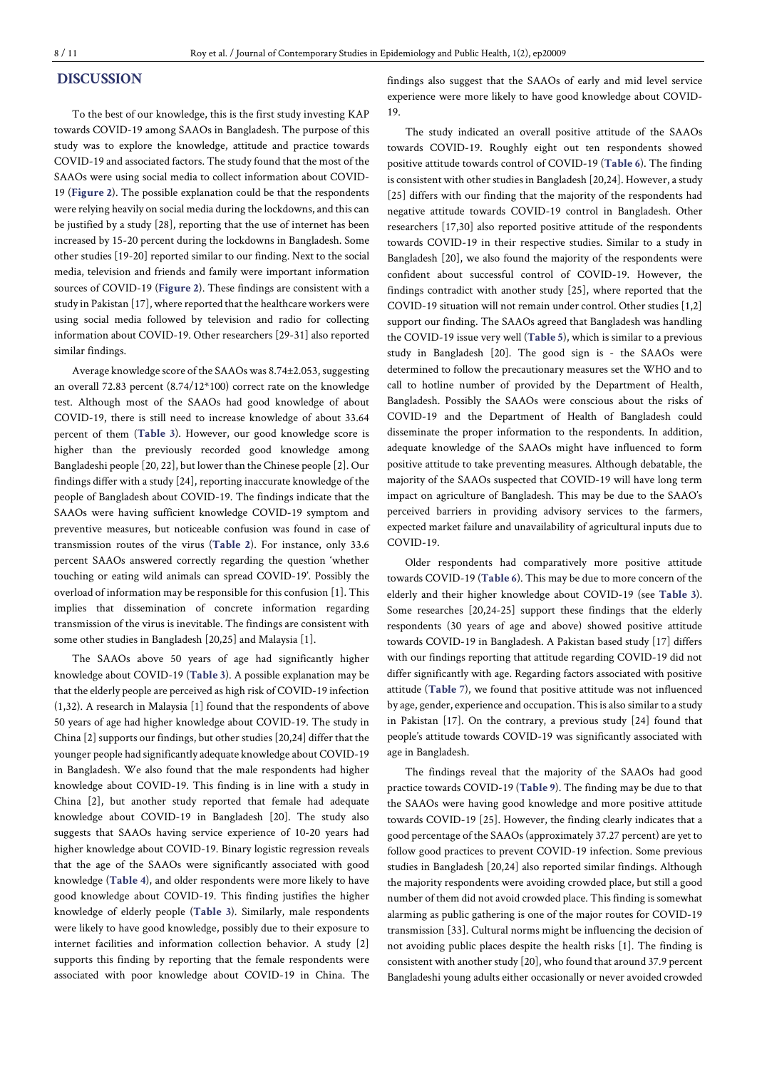# **DISCUSSION**

To the best of our knowledge, this is the first study investing KAP towards COVID-19 among SAAOs in Bangladesh. The purpose of this study was to explore the knowledge, attitude and practice towards COVID-19 and associated factors. The study found that the most of the SAAOs were using social media to collect information about COVID-19 (**Figure 2**). The possible explanation could be that the respondents were relying heavily on social media during the lockdowns, and thiscan be justified by a study [28], reporting that the use of internet has been increased by 15-20 percent during the lockdowns in Bangladesh. Some other studies [19-20] reported similar to our finding. Next to the social media, television and friends and family were important information sources of COVID-19 (**Figure 2**). These findings are consistent with a study in Pakistan [17], where reported that the healthcare workers were using social media followed by television and radio for collecting information about COVID-19. Other researchers [29-31] also reported similar findings.

Average knowledge score of the SAAOs was 8.74±2.053, suggesting an overall 72.83 percent (8.74/12\*100) correct rate on the knowledge test. Although most of the SAAOs had good knowledge of about COVID-19, there is still need to increase knowledge of about 33.64 percent of them (**Table 3**). However, our good knowledge score is higher than the previously recorded good knowledge among Bangladeshi people [20, 22], but lower than the Chinese people [2]. Our findings differ with a study [24], reporting inaccurate knowledge of the people of Bangladesh about COVID-19. The findings indicate that the SAAOs were having sufficient knowledge COVID-19 symptom and preventive measures, but noticeable confusion was found in case of transmission routes of the virus (**Table 2**). For instance, only 33.6 percent SAAOs answered correctly regarding the question 'whether touching or eating wild animals can spread COVID-19'. Possibly the overload of information may be responsible for thisconfusion [1]. This implies that dissemination of concrete information regarding transmission of the virus is inevitable. The findings are consistent with some other studies in Bangladesh [20,25] and Malaysia [1].

The SAAOs above 50 years of age had significantly higher knowledge about COVID-19 (**Table 3**). A possible explanation may be that the elderly people are perceived as high risk of COVID-19 infection (1,32). A research in Malaysia [1] found that the respondents of above 50 years of age had higher knowledge about COVID-19. The study in China [2] supports our findings, but other studies [20,24] differ that the younger people had significantly adequate knowledge about COVID-19 in Bangladesh. We also found that the male respondents had higher knowledge about COVID-19. This finding is in line with a study in China [2], but another study reported that female had adequate knowledge about COVID-19 in Bangladesh [20]. The study also suggests that SAAOs having service experience of 10-20 years had higher knowledge about COVID-19. Binary logistic regression reveals that the age of the SAAOs were significantly associated with good knowledge (**Table 4**), and older respondents were more likely to have good knowledge about COVID-19. This finding justifies the higher knowledge of elderly people (**Table 3**). Similarly, male respondents were likely to have good knowledge, possibly due to their exposure to internet facilities and information collection behavior. A study [2] supports this finding by reporting that the female respondents were associated with poor knowledge about COVID-19 in China. The findings also suggest that the SAAOs of early and mid level service experience were more likely to have good knowledge about COVID-19.

The study indicated an overall positive attitude of the SAAOs towards COVID-19. Roughly eight out ten respondents showed positive attitude towards control of COVID-19 (**Table 6**). The finding is consistent with other studies in Bangladesh [20,24]. However, a study [25] differs with our finding that the majority of the respondents had negative attitude towards COVID-19 control in Bangladesh. Other researchers [17,30] also reported positive attitude of the respondents towards COVID-19 in their respective studies. Similar to a study in Bangladesh [20], we also found the majority of the respondents were confident about successful control of COVID-19. However, the findings contradict with another study [25], where reported that the COVID-19 situation will not remain under control. Other studies [1,2] support our finding. The SAAOs agreed that Bangladesh was handling the COVID-19 issue very well (**Table 5**), which is similar to a previous study in Bangladesh [20]. The good sign is - the SAAOs were determined to follow the precautionary measures set the WHO and to call to hotline number of provided by the Department of Health, Bangladesh. Possibly the SAAOs were conscious about the risks of COVID-19 and the Department of Health of Bangladesh could disseminate the proper information to the respondents. In addition, adequate knowledge of the SAAOs might have influenced to form positive attitude to take preventing measures. Although debatable, the majority of the SAAOs suspected that COVID-19 will have long term impact on agriculture of Bangladesh. This may be due to the SAAO's perceived barriers in providing advisory services to the farmers, expected market failure and unavailability of agricultural inputs due to COVID-19.

Older respondents had comparatively more positive attitude towards COVID-19 (**Table 6**). This may be due to more concern of the elderly and their higher knowledge about COVID-19 (see **Table 3**). Some researches [20,24-25] support these findings that the elderly respondents (30 years of age and above) showed positive attitude towards COVID-19 in Bangladesh. A Pakistan based study [17] differs with our findings reporting that attitude regarding COVID-19 did not differ significantly with age. Regarding factors associated with positive attitude (**Table 7**), we found that positive attitude was not influenced by age, gender, experience and occupation. This is also similar to a study in Pakistan [17]. On the contrary, a previous study [24] found that people's attitude towards COVID-19 was significantly associated with age in Bangladesh.

The findings reveal that the majority of the SAAOs had good practice towards COVID-19 (**Table 9**). The finding may be due to that the SAAOs were having good knowledge and more positive attitude towards COVID-19 [25]. However, the finding clearly indicates that a good percentage of the SAAOs (approximately 37.27 percent) are yet to follow good practices to prevent COVID-19 infection. Some previous studies in Bangladesh [20,24] also reported similar findings. Although the majority respondents were avoiding crowded place, but still a good number of them did not avoid crowded place. This finding is somewhat alarming as public gathering is one of the major routes for COVID-19 transmission [33]. Cultural norms might be influencing the decision of not avoiding public places despite the health risks [1]. The finding is consistent with another study [20], who found that around 37.9 percent Bangladeshi young adults either occasionally or never avoided crowded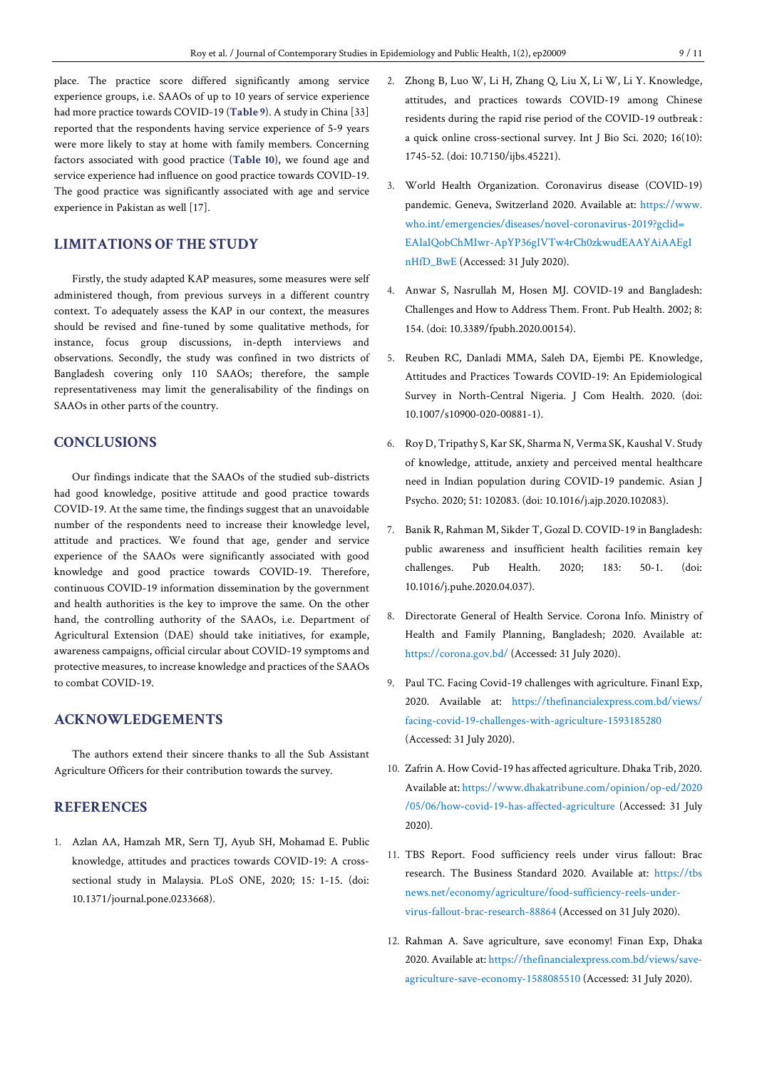place. The practice score differed significantly among service experience groups, i.e. SAAOs of up to 10 years of service experience had more practice towards COVID-19 (**Table 9**). A study in China [33] reported that the respondents having service experience of 5-9 years were more likely to stay at home with family members. Concerning factors associated with good practice (**Table 10**), we found age and service experience had influence on good practice towards COVID-19. The good practice was significantly associated with age and service experience in Pakistan as well [17].

# **LIMITATIONS OF THE STUDY**

Firstly, the study adapted KAP measures, some measures were self administered though, from previous surveys in a different country context. To adequately assess the KAP in our context, the measures should be revised and fine-tuned by some qualitative methods, for instance, focus group discussions, in-depth interviews and observations. Secondly, the study was confined in two districts of Bangladesh covering only 110 SAAOs; therefore, the sample representativeness may limit the generalisability of the findings on SAAOs in other parts of the country.

# **CONCLUSIONS**

Our findings indicate that the SAAOs of the studied sub-districts had good knowledge, positive attitude and good practice towards COVID-19. At the same time, the findings suggest that an unavoidable number of the respondents need to increase their knowledge level, attitude and practices. We found that age, gender and service experience of the SAAOs were significantly associated with good knowledge and good practice towards COVID-19. Therefore, continuous COVID-19 information dissemination by the government and health authorities is the key to improve the same. On the other hand, the controlling authority of the SAAOs, i.e. Department of Agricultural Extension (DAE) should take initiatives, for example, awareness campaigns, official circular about COVID-19 symptoms and protective measures, to increase knowledge and practices of the SAAOs to combat COVID-19.

# **ACKNOWLEDGEMENTS**

The authors extend their sincere thanks to all the Sub Assistant Agriculture Officers for their contribution towards the survey.

# **REFERENCES**

1. Azlan AA, Hamzah MR, Sern TJ, Ayub SH, Mohamad E. Public knowledge, attitudes and practices towards COVID-19: A crosssectional study in Malaysia. PLoS ONE, 2020; 15*:* 1-15. (doi: 10.1371/journal.pone.0233668).

- 2. Zhong B, Luo W, Li H, Zhang Q, Liu X, Li W, Li Y. Knowledge, attitudes, and practices towards COVID-19 among Chinese residents during the rapid rise period of the COVID-19 outbreak : a quick online cross-sectional survey. Int J Bio Sci. 2020; 16(10): 1745-52. (doi: 10.7150/ijbs.45221).
- 3. World Health Organization. Coronavirus disease (COVID-19) pandemic. Geneva, Switzerland 2020. Available at: [https://www.](https://www.who.int/emergencies/diseases/novel-coronavirus-2019?gclid=EAIaIQobChMIwr-ApYP36gIVTw4rCh0zkwudEAAYAiAAEgInHfD_BwE) [who.int/emergencies/diseases/novel-coronavirus-2019?gclid=](https://www.who.int/emergencies/diseases/novel-coronavirus-2019?gclid=EAIaIQobChMIwr-ApYP36gIVTw4rCh0zkwudEAAYAiAAEgInHfD_BwE) [EAIaIQobChMIwr-ApYP36gIVTw4rCh0zkwudEAAYAiAAEgI](https://www.who.int/emergencies/diseases/novel-coronavirus-2019?gclid=EAIaIQobChMIwr-ApYP36gIVTw4rCh0zkwudEAAYAiAAEgInHfD_BwE) [nHfD\\_BwE](https://www.who.int/emergencies/diseases/novel-coronavirus-2019?gclid=EAIaIQobChMIwr-ApYP36gIVTw4rCh0zkwudEAAYAiAAEgInHfD_BwE) (Accessed: 31 July 2020).
- 4. Anwar S, Nasrullah M, Hosen MJ. COVID-19 and Bangladesh: Challenges and How to Address Them. Front. Pub Health. 2002; 8: 154. (doi: 10.3389/fpubh.2020.00154).
- 5. Reuben RC, Danladi MMA, Saleh DA, Ejembi PE. Knowledge, Attitudes and Practices Towards COVID-19: An Epidemiological Survey in North-Central Nigeria. J Com Health. 2020. (doi: 10.1007/s10900-020-00881-1).
- 6. Roy D, Tripathy S, Kar SK, Sharma N, Verma SK, Kaushal V. Study of knowledge, attitude, anxiety and perceived mental healthcare need in Indian population during COVID-19 pandemic. Asian J Psycho. 2020; 51: 102083. (doi: 10.1016/j.ajp.2020.102083).
- 7. Banik R, Rahman M, Sikder T, Gozal D. COVID-19 in Bangladesh: public awareness and insufficient health facilities remain key challenges. Pub Health. 2020; 183: 50-1. (doi: 10.1016/j.puhe.2020.04.037).
- 8. Directorate General of Health Service. Corona Info. Ministry of Health and Family Planning, Bangladesh; 2020. Available at: <https://corona.gov.bd/> (Accessed: 31 July 2020).
- 9. Paul TC. Facing Covid-19 challenges with agriculture. Finanl Exp, 2020. Available at: [https://thefinancialexpress.com.bd/views/](https://thefinancialexpress.com.bd/views/facing-covid-19-challenges-with-agriculture-1593185280) [facing-covid-19-challenges-with-agriculture-1593185280](https://thefinancialexpress.com.bd/views/facing-covid-19-challenges-with-agriculture-1593185280) (Accessed: 31 July 2020).
- 10. Zafrin A.How Covid-19 has affected agriculture. Dhaka Trib, 2020. Available at: [https://www.dhakatribune.com/opinion/op-ed/2020](https://www.dhakatribune.com/opinion/op-ed/2020/05/06/how-covid-19-has-affected-agriculture) [/05/06/how-covid-19-has-affected-agriculture](https://www.dhakatribune.com/opinion/op-ed/2020/05/06/how-covid-19-has-affected-agriculture) (Accessed: 31 July 2020).
- 11. TBS Report. Food sufficiency reels under virus fallout: Brac research. The Business Standard 2020. Available at: [https://tbs](https://tbsnews.net/economy/agriculture/food-sufficiency-reels-under-virus-fallout-brac-research-88864) [news.net/economy/agriculture/food-sufficiency-reels-under](https://tbsnews.net/economy/agriculture/food-sufficiency-reels-under-virus-fallout-brac-research-88864)[virus-fallout-brac-research-88864](https://tbsnews.net/economy/agriculture/food-sufficiency-reels-under-virus-fallout-brac-research-88864) (Accessed on 31 July 2020).
- 12. Rahman A. Save agriculture, save economy! Finan Exp, Dhaka 2020. Available at: [https://thefinancialexpress.com.bd/views/save](https://thefinancialexpress.com.bd/views/save-agriculture-save-economy-1588085510)[agriculture-save-economy-1588085510](https://thefinancialexpress.com.bd/views/save-agriculture-save-economy-1588085510) (Accessed: 31 July 2020).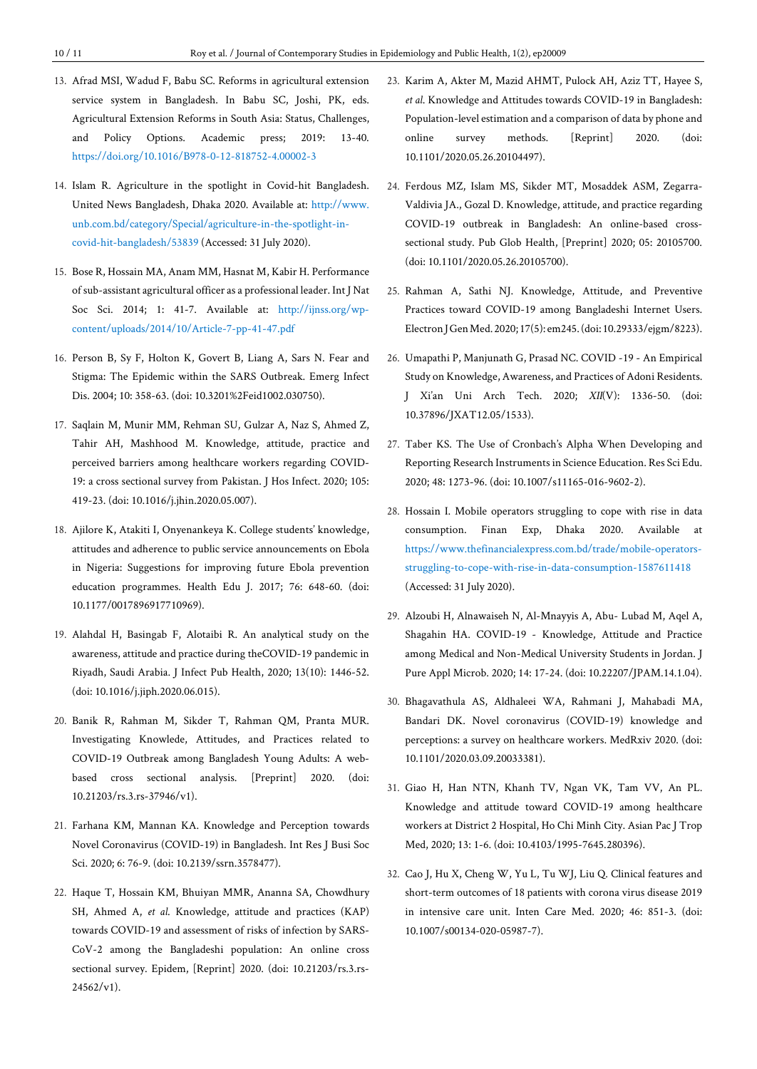- 13. Afrad MSI, Wadud F, Babu SC. Reforms in agricultural extension service system in Bangladesh. In Babu SC, Joshi, PK, eds. Agricultural Extension Reforms in South Asia: Status, Challenges, and Policy Options. Academic press; 2019: 13-40. <https://doi.org/10.1016/B978-0-12-818752-4.00002-3>
- 14. Islam R. Agriculture in the spotlight in Covid-hit Bangladesh. United News Bangladesh, Dhaka 2020. Available at: [http://www.](http://www.unb.com.bd/category/Special/agriculture-in-the-spotlight-in-covid-hit-bangladesh/53839) [unb.com.bd/category/Special/agriculture-in-the-spotlight-in](http://www.unb.com.bd/category/Special/agriculture-in-the-spotlight-in-covid-hit-bangladesh/53839)[covid-hit-bangladesh/53839](http://www.unb.com.bd/category/Special/agriculture-in-the-spotlight-in-covid-hit-bangladesh/53839) (Accessed: 31 July 2020).
- 15. Bose R, Hossain MA, Anam MM, Hasnat M, Kabir H. Performance of sub-assistant agricultural officer as a professional leader. Int J Nat Soc Sci. 2014; 1: 41-7. Available at: [http://ijnss.org/wp](http://ijnss.org/wp-content/uploads/2014/10/Article-7-pp-41-47.pdf)[content/uploads/2014/10/Article-7-pp-41-47.pdf](http://ijnss.org/wp-content/uploads/2014/10/Article-7-pp-41-47.pdf)
- 16. Person B, Sy F, Holton K, Govert B, Liang A, Sars N. Fear and Stigma: The Epidemic within the SARS Outbreak. Emerg Infect Dis. 2004; 10: 358-63. (doi: 10.3201%2Feid1002.030750).
- 17. Saqlain M, Munir MM, Rehman SU, Gulzar A, Naz S, Ahmed Z, Tahir AH, Mashhood M. Knowledge, attitude, practice and perceived barriers among healthcare workers regarding COVID-19: a cross sectional survey from Pakistan. J Hos Infect. 2020; 105: 419-23. (doi: 10.1016/j.jhin.2020.05.007).
- 18. Ajilore K, Atakiti I, Onyenankeya K. College students' knowledge, attitudes and adherence to public service announcements on Ebola in Nigeria: Suggestions for improving future Ebola prevention education programmes. Health Edu J. 2017; 76: 648-60. (doi: 10.1177/0017896917710969).
- 19. Alahdal H, Basingab F, Alotaibi R. An analytical study on the awareness, attitude and practice during theCOVID-19 pandemic in Riyadh, Saudi Arabia. J Infect Pub Health, 2020; 13(10): 1446-52. (doi: 10.1016/j.jiph.2020.06.015).
- 20. Banik R, Rahman M, Sikder T, Rahman QM, Pranta MUR. Investigating Knowlede, Attitudes, and Practices related to COVID-19 Outbreak among Bangladesh Young Adults: A webbased cross sectional analysis. [Preprint] 2020. (doi: 10.21203/rs.3.rs-37946/v1).
- 21. Farhana KM, Mannan KA. Knowledge and Perception towards Novel Coronavirus (COVID-19) in Bangladesh. Int Res J Busi Soc Sci. 2020; 6: 76-9. (doi: 10.2139/ssrn.3578477).
- 22. Haque T, Hossain KM, Bhuiyan MMR, Ananna SA, Chowdhury SH, Ahmed A, *et al*. Knowledge, attitude and practices (KAP) towards COVID-19 and assessment of risks of infection by SARS-CoV-2 among the Bangladeshi population: An online cross sectional survey. Epidem, [Reprint] 2020. (doi: 10.21203/rs.3.rs-24562/v1).
- 23. Karim A, Akter M, Mazid AHMT, Pulock AH, Aziz TT, Hayee S, *et al*. Knowledge and Attitudes towards COVID-19 in Bangladesh: Population-level estimation and a comparison of data by phone and online survey methods. [Reprint] 2020. (doi: 10.1101/2020.05.26.20104497).
- 24. Ferdous MZ, Islam MS, Sikder MT, Mosaddek ASM, Zegarra-Valdivia JA., Gozal D. Knowledge, attitude, and practice regarding COVID-19 outbreak in Bangladesh: An online-based crosssectional study. Pub Glob Health, [Preprint] 2020; 05: 20105700. (doi: 10.1101/2020.05.26.20105700).
- 25. Rahman A, Sathi NJ. Knowledge, Attitude, and Preventive Practices toward COVID-19 among Bangladeshi Internet Users. Electron J Gen Med. 2020; 17(5): em245. (doi: 10.29333/ejgm/8223).
- 26. Umapathi P, Manjunath G, Prasad NC. COVID -19 An Empirical Study on Knowledge, Awareness, and Practices of Adoni Residents. J Xi'an Uni Arch Tech. 2020; *XII*(V): 1336-50. (doi: 10.37896/JXAT12.05/1533).
- 27. Taber KS. The Use of Cronbach's Alpha When Developing and Reporting Research Instruments in Science Education. Res Sci Edu. 2020; 48: 1273-96. (doi: 10.1007/s11165-016-9602-2).
- 28. Hossain I. Mobile operators struggling to cope with rise in data consumption. Finan Exp, Dhaka 2020. Available [https://www.thefinancialexpress.com.bd/trade/mobile-operators](https://www.thefinancialexpress.com.bd/trade/mobile-operators-struggling-to-cope-with-rise-in-data-consumption-1587611418)[struggling-to-cope-with-rise-in-data-consumption-1587611418](https://www.thefinancialexpress.com.bd/trade/mobile-operators-struggling-to-cope-with-rise-in-data-consumption-1587611418) (Accessed: 31 July 2020).
- 29. Alzoubi H, Alnawaiseh N, Al-Mnayyis A, Abu- Lubad M, Aqel A, Shagahin HA. COVID-19 - Knowledge, Attitude and Practice among Medical and Non-Medical University Students in Jordan. J Pure Appl Microb. 2020; 14: 17-24. (doi: 10.22207/JPAM.14.1.04).
- 30. Bhagavathula AS, Aldhaleei WA, Rahmani J, Mahabadi MA, Bandari DK. Novel coronavirus (COVID-19) knowledge and perceptions: a survey on healthcare workers. MedRxiv 2020. (doi: 10.1101/2020.03.09.20033381).
- 31. Giao H, Han NTN, Khanh TV, Ngan VK, Tam VV, An PL. Knowledge and attitude toward COVID-19 among healthcare workers at District 2 Hospital, Ho Chi Minh City. Asian Pac J Trop Med, 2020; 13: 1-6. (doi: 10.4103/1995-7645.280396).
- 32. Cao J, Hu X, Cheng W, Yu L, Tu WJ, Liu Q. Clinical features and short-term outcomes of 18 patients with corona virus disease 2019 in intensive care unit. Inten Care Med. 2020; 46: 851-3. (doi: 10.1007/s00134-020-05987-7).